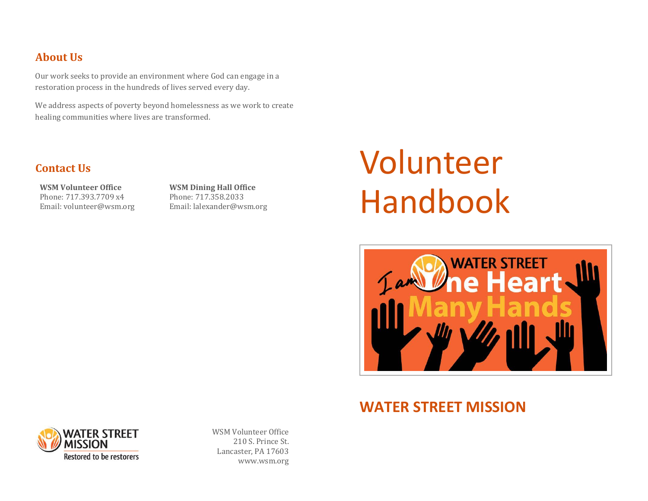### **About Us**

Our work seeks to provide an environment where God can engage in a restoration process in the hundreds of lives served every day.

We address aspects of poverty beyond homelessness as we work to create healing communities where lives are transformed.

### **Contact Us**

**WSM Volunteer Office** Phone: 717.393.7709 x4 Email: volunteer@wsm.org **WSM Dining Hall Office** Phone: 717.358.2033 Email: lalexander@wsm.org

# Volunteer Handbook



# **WATER STREET MISSION**



WSM Volunteer Office 210 S. Prince St. Lancaster, PA 17603 www.wsm.org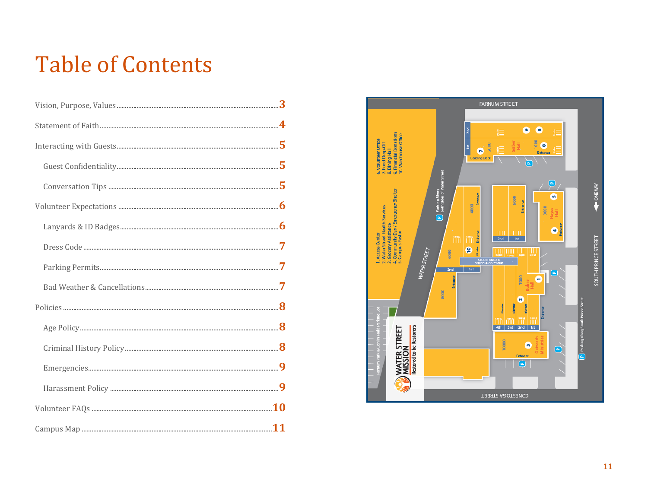# **Table of Contents**

| $\begin{minipage}{0.9\linewidth} Conversion Tips  \end{minipage} \begin{minipage}{0.9\linewidth} \begin{minipage}{0.9\linewidth} \begin{minipage}{0.9\linewidth} \hline \textbf{5} & \textbf{6} & \textbf{7} & \textbf{8} \\ \hline \textbf{6} & \textbf{8} & \textbf{9} & \textbf{10} \\ \hline \textbf{7} & \textbf{8} & \textbf{10} & \textbf{10} \\ \hline \textbf{8} & \textbf{10} & \textbf{10} & \textbf{10} \\ \hline \textbf{9} & \textbf{10} & \textbf{10} &$ |  |
|-------------------------------------------------------------------------------------------------------------------------------------------------------------------------------------------------------------------------------------------------------------------------------------------------------------------------------------------------------------------------------------------------------------------------------------------------------------------------|--|
|                                                                                                                                                                                                                                                                                                                                                                                                                                                                         |  |
|                                                                                                                                                                                                                                                                                                                                                                                                                                                                         |  |
|                                                                                                                                                                                                                                                                                                                                                                                                                                                                         |  |
|                                                                                                                                                                                                                                                                                                                                                                                                                                                                         |  |
|                                                                                                                                                                                                                                                                                                                                                                                                                                                                         |  |
|                                                                                                                                                                                                                                                                                                                                                                                                                                                                         |  |
|                                                                                                                                                                                                                                                                                                                                                                                                                                                                         |  |
|                                                                                                                                                                                                                                                                                                                                                                                                                                                                         |  |
|                                                                                                                                                                                                                                                                                                                                                                                                                                                                         |  |
|                                                                                                                                                                                                                                                                                                                                                                                                                                                                         |  |
|                                                                                                                                                                                                                                                                                                                                                                                                                                                                         |  |
|                                                                                                                                                                                                                                                                                                                                                                                                                                                                         |  |

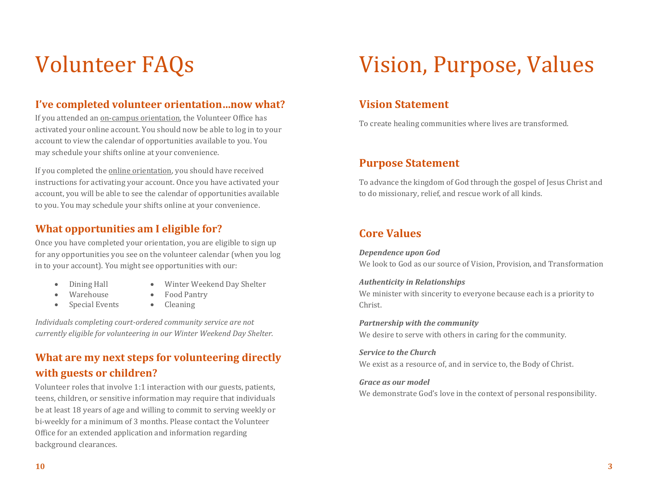# Volunteer FAQs

#### **I've completed volunteer orientation…now what?**

If you attended an on-campus orientation, the Volunteer Office has activated your online account. You should now be able to log in to your account to view the calendar of opportunities available to you. You may schedule your shifts online at your convenience.

If you completed the online orientation, you should have received instructions for activating your account. Once you have activated your account, you will be able to see the calendar of opportunities available to you. You may schedule your shifts online at your convenience.

#### **What opportunities am I eligible for?**

Once you have completed your orientation, you are eligible to sign up for any opportunities you see on the volunteer calendar (when you log in to your account). You might see opportunities with our:

- 
- Dining Hall Winter Weekend Day Shelter
- Warehouse Food Pantry
	-
- Special Events Cleaning
	-

*Individuals completing court-ordered community service are not currently eligible for volunteering in our Winter Weekend Day Shelter.*

# **What are my next steps for volunteering directly with guests or children?**

Volunteer roles that involve 1:1 interaction with our guests, patients, teens, children, or sensitive information may require that individuals be at least 18 years of age and willing to commit to serving weekly or bi-weekly for a minimum of 3 months. Please contact the Volunteer Office for an extended application and information regarding background clearances.

# Vision, Purpose, Values

#### **Vision Statement**

To create healing communities where lives are transformed.

#### **Purpose Statement**

To advance the kingdom of God through the gospel of Jesus Christ and to do missionary, relief, and rescue work of all kinds.

### **Core Values**

*Dependence upon God* We look to God as our source of Vision, Provision, and Transformation

#### *Authenticity in Relationships* We minister with sincerity to everyone because each is a priority to Christ.

*Partnership with the community* We desire to serve with others in caring for the community.

*Service to the Church* We exist as a resource of, and in service to, the Body of Christ.

#### *Grace as our model*

We demonstrate God's love in the context of personal responsibility.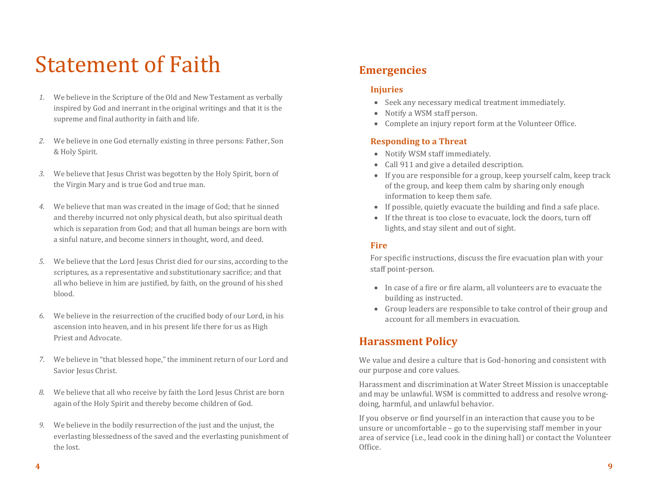# Statement of Faith

- *1.* We believe in the Scripture of the Old and New Testament as verbally inspired by God and inerrant in the original writings and that it is the supreme and final authority in faith and life.
- *2.* We believe in one God eternally existing in three persons: Father, Son & Holy Spirit.
- *3.* We believe that Jesus Christ was begotten by the Holy Spirit, born of the Virgin Mary and is true God and true man.
- *4.* We believe that man was created in the image of God; that he sinned and thereby incurred not only physical death, but also spiritual death which is separation from God; and that all human beings are born with a sinful nature, and become sinners in thought, word, and deed.
- *5.* We believe that the Lord Jesus Christ died for our sins, according to the scriptures, as a representative and substitutionary sacrifice; and that all who believe in him are justified, by faith, on the ground of his shed blood.
- *6.* We believe in the resurrection of the crucified body of our Lord, in his ascension into heaven, and in his present life there for us as High Priest and Advocate.
- *7.* We believe in "that blessed hope," the imminent return of our Lord and Savior Jesus Christ.
- *8.* We believe that all who receive by faith the Lord Jesus Christ are born again of the Holy Spirit and thereby become children of God.
- *9.* We believe in the bodily resurrection of the just and the unjust, the everlasting blessedness of the saved and the everlasting punishment of the lost.

#### **Emergencies**

#### **Injuries**

- Seek any necessary medical treatment immediately.
- Notify a WSM staff person.
- Complete an injury report form at the Volunteer Office.

#### **Responding to a Threat**

- Notify WSM staff immediately.
- Call 911 and give a detailed description.
- If you are responsible for a group, keep yourself calm, keep track of the group, and keep them calm by sharing only enough information to keep them safe.
- If possible, quietly evacuate the building and find a safe place.
- If the threat is too close to evacuate, lock the doors, turn off lights, and stay silent and out of sight.

#### **Fire**

For specific instructions, discuss the fire evacuation plan with your staff point-person.

- In case of a fire or fire alarm, all volunteers are to evacuate the building as instructed.
- Group leaders are responsible to take control of their group and account for all members in evacuation.

### **Harassment Policy**

We value and desire a culture that is God-honoring and consistent with our purpose and core values.

Harassment and discrimination at Water Street Mission is unacceptable and may be unlawful. WSM is committed to address and resolve wrongdoing, harmful, and unlawful behavior.

If you observe or find yourself in an interaction that cause you to be unsure or uncomfortable – go to the supervising staff member in your area of service (i.e., lead cook in the dining hall) or contact the Volunteer Office.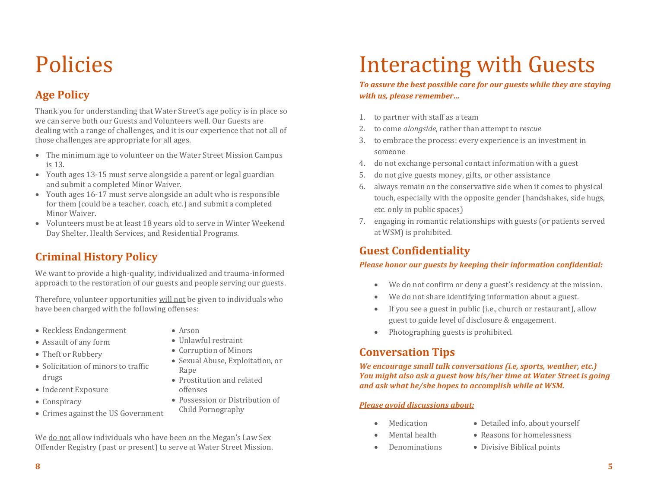# Policies

# **Age Policy**

Thank you for understanding that Water Street's age policy is in place so we can serve both our Guests and Volunteers well. Our Guests are dealing with a range of challenges, and it is our experience that not all of those challenges are appropriate for all ages.

- The minimum age to volunteer on the Water Street Mission Campus is 13.
- Youth ages 13-15 must serve alongside a parent or legal guardian and submit a completed Minor Waiver.
- Youth ages 16-17 must serve alongside an adult who is responsible for them (could be a teacher, coach, etc.) and submit a completed Minor Waiver.
- Volunteers must be at least 18 years old to serve in Winter Weekend Day Shelter, Health Services, and Residential Programs.

# **Criminal History Policy**

We want to provide a high-quality, individualized and trauma-informed approach to the restoration of our guests and people serving our guests.

Therefore, volunteer opportunities will not be given to individuals who have been charged with the following offenses:

- Reckless Endangerment
- Assault of any form
- Theft or Robbery
- Solicitation of minors to traffic drugs
- Indecent Exposure
- Conspiracy
- Crimes against the US Government
- Arson
- Unlawful restraint Corruption of Minors
- Sexual Abuse, Exploitation, or Rape
- Prostitution and related offenses
- Possession or Distribution of Child Pornography

 We do not allow individuals who have been on the Megan's Law Sex Offender Registry (past or present) to serve at Water Street Mission.

# Interacting with Guests

*To assure the best possible care for our guests while they are staying with us, please remember…*

- 1. to partner with staff as a team
- 2. to come *alongside*, rather than attempt to *rescue*
- 3. to embrace the process: every experience is an investment in someone
- 4. do not exchange personal contact information with a guest
- 5. do not give guests money, gifts, or other assistance
- 6. always remain on the conservative side when it comes to physical touch, especially with the opposite gender (handshakes, side hugs, etc. only in public spaces)
- 7. engaging in romantic relationships with guests (or patients served at WSM) is prohibited.

### **Guest Confidentiality**

#### *Please honor our guests by keeping their information confidential:*

- We do not confirm or deny a guest's residency at the mission.
- We do not share identifying information about a guest.
- If you see a guest in public (i.e., church or restaurant), allow guest to guide level of disclosure & engagement.
- Photographing guests is prohibited.

### **Conversation Tips**

*We encourage small talk conversations (i.e, sports, weather, etc.) You might also ask a guest how his/her time at Water Street is going and ask what he/she hopes to accomplish while at WSM.*

#### *Please avoid discussions about:*

- Medication
- Detailed info. about yourself Reasons for homelessness
- Mental health

Denominations

Divisive Biblical points